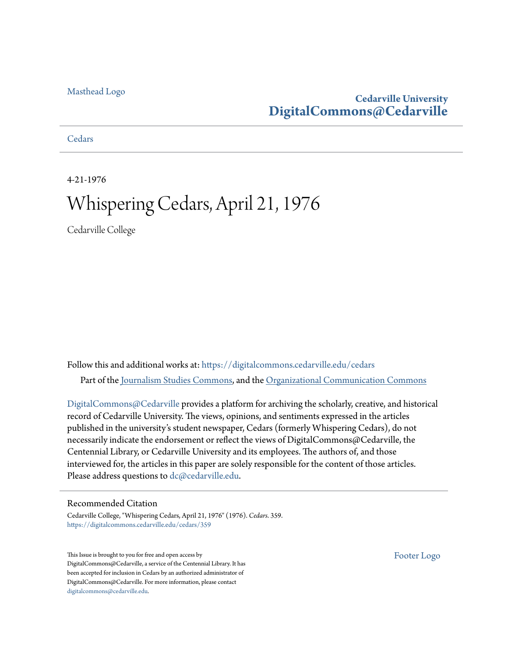## [Masthead Logo](http://www.cedarville.edu/?utm_source=digitalcommons.cedarville.edu%2Fcedars%2F359&utm_medium=PDF&utm_campaign=PDFCoverPages)

## **Cedarville University [DigitalCommons@Cedarville](https://digitalcommons.cedarville.edu?utm_source=digitalcommons.cedarville.edu%2Fcedars%2F359&utm_medium=PDF&utm_campaign=PDFCoverPages)**

**[Cedars](https://digitalcommons.cedarville.edu/cedars?utm_source=digitalcommons.cedarville.edu%2Fcedars%2F359&utm_medium=PDF&utm_campaign=PDFCoverPages)** 

4-21-1976

# Whispering Cedars, April 21, 1976

Cedarville College

Follow this and additional works at: [https://digitalcommons.cedarville.edu/cedars](https://digitalcommons.cedarville.edu/cedars?utm_source=digitalcommons.cedarville.edu%2Fcedars%2F359&utm_medium=PDF&utm_campaign=PDFCoverPages) Part of the [Journalism Studies Commons](http://network.bepress.com/hgg/discipline/333?utm_source=digitalcommons.cedarville.edu%2Fcedars%2F359&utm_medium=PDF&utm_campaign=PDFCoverPages), and the [Organizational Communication Commons](http://network.bepress.com/hgg/discipline/335?utm_source=digitalcommons.cedarville.edu%2Fcedars%2F359&utm_medium=PDF&utm_campaign=PDFCoverPages)

[DigitalCommons@Cedarville](http://digitalcommons.cedarville.edu/) provides a platform for archiving the scholarly, creative, and historical record of Cedarville University. The views, opinions, and sentiments expressed in the articles published in the university's student newspaper, Cedars (formerly Whispering Cedars), do not necessarily indicate the endorsement or reflect the views of DigitalCommons@Cedarville, the Centennial Library, or Cedarville University and its employees. The authors of, and those interviewed for, the articles in this paper are solely responsible for the content of those articles. Please address questions to [dc@cedarville.edu.](mailto:dc@cedarville.edu)

### Recommended Citation

Cedarville College, "Whispering Cedars, April 21, 1976" (1976). *Cedars*. 359. [https://digitalcommons.cedarville.edu/cedars/359](https://digitalcommons.cedarville.edu/cedars/359?utm_source=digitalcommons.cedarville.edu%2Fcedars%2F359&utm_medium=PDF&utm_campaign=PDFCoverPages)

This Issue is brought to you for free and open access by DigitalCommons@Cedarville, a service of the Centennial Library. It has been accepted for inclusion in Cedars by an authorized administrator of DigitalCommons@Cedarville. For more information, please contact [digitalcommons@cedarville.edu](mailto:digitalcommons@cedarville.edu).

[Footer Logo](http://www.cedarville.edu/Academics/Library.aspx?utm_source=digitalcommons.cedarville.edu%2Fcedars%2F359&utm_medium=PDF&utm_campaign=PDFCoverPages)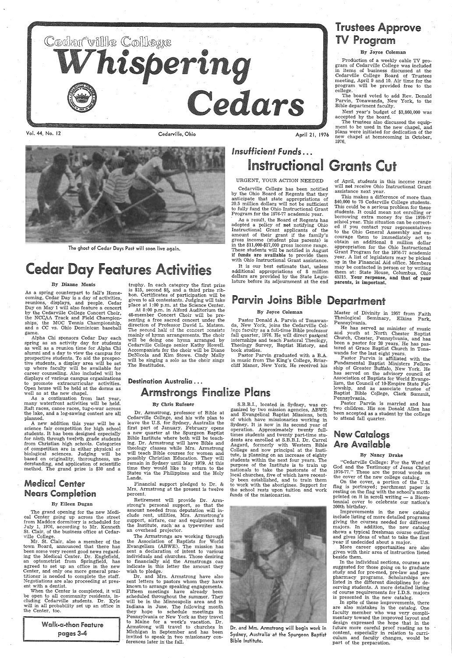

Vol. 44, No. 12 Cedarville, Ohio



The ghost of Cedar Days Past will soon live again.

# **Cedar Day Features Activities**

### By Dianne Monts

As a spring counterpart to fall's Homecoming, Cedar Day is a day of activities, reunions, displays, and people. Cedar Day on May 1 will also feature a concert by the Cedarville College Concert Choir, the NCCAA Track and Field Championships; the MOC Tennis Championship, and a CC vs. Ohio Dominican baseball game.

trophy. In each category the first prize is \$15, second \$5, and a third prize ribbon. Certificates of participation will be given to all contestants. Judging will take place at 1:00 p.m. at the Science Center.

# Insufficient Funds ... Instructional Grants Cut

At 8: 00 p.m. in Alford Auditorium the 48-member Concert Choir will be presenting a free sacred concert under the direction of Professor David L. Matson. The second half of the concert consists mainly of hymn arrangements. The choir will be doing one hymn arranged by Cedarville College senior Kathy Howell. Accompanists for the choir will be Diane DeNicola and Kim Stowe. Cindy Mally will be singing a solo as the choir sings The Beatitudes.

### Destination Australia ...

## **Armstrongs Finalize Plans**

Production of a weekly cable TV program of Cedarville College was included in items of business discussed at the Cedarville College Board of Trustees meeting, April 9 and 10. Air time for the program will be provided free to the college.

April 21, 1976

URGENT, YOUR ACTION NEEDED

Cedarville College has been notified by the Ohio Board of Regents that they anticipate that state appropriations of 20.5 million dollars will not be sufficient to fully fund the Ohio Instructional Grant Program for the 1976-77 academic year.

 As a result, the Board of Regents has adopted a policy of not notifying Ohio Instructional Grant applicants of the amount of their grant if the family's gross income (student plus parents) is in the \$11,000-\$17,000 gross income range. These students will be notified in August if funds are available to provide them with Ohio Instructional Grant assistance.

It is our best estimate that, unless additional appropriations of 8 million dollars are provided by the State Legislature before its adjournment at the end

# Trustees Approve TV Program

### By Joyce Coleman

The board voted to add Rev. Donald Parvin, Tonawanda, New York, to the Bible department faculty.

Next year's budget of \$3,860,000 was accepted by the board.

The trustees also discussed the equipment to be used in the new chapel, and plans were initiated for dedication of the new chapel at homecoming in October, 1976.

of April, students in this income range will not receive Ohio Instructional Grant assistance next year.

## **Medical Center** Nears Completion

This makes a difference of more than. \$40,000 to 75 Cedarville College students. This could be a serious problem for these students. It could mean not enrolling or· borrowing extra money for the 1976-77' school year. This situation can be correct-· ed if you contact your representatives. to the Ohio General Assembly and encourage them to, immediately act to obtain an additional 8 million dollar appropriation for the Ohio Instructional Grant Program for the 1976-77 academic year., A list of legislators may be picked up in the Financial Aid office. Members may be contacted in person or by writing them at: State House, Columbus, Ohio 43215. Your response, and that of your parents, is important.

# Parvin Joins Bible Department

### By Joyce Coleman

Pastor Donald A. Parvin of Tonawanda, New York, joins the Cedarville College faculty as a full-time Bible professor fall quarter, 1976. He will direct pastoral internships and teach Pastoral Theology, Theology Survey, Baptist History, and book studies.

Dr. and Mrs. Armstrong have also sent letters to pastors whom they have known to arrange speaking engagements. Fifteen meetings have already been scheduled throughout the summer. They will be in the Minneapolis area and in Indiana in June. The following month they hope to schedule meetings in Pennsylvania or New York as they travel to Maine for a week's vacation. Dr. Armstrong will travel to churches in Michigan in September and has been invited to speak in two missionary conferences later in the fall.

 Pastor Parvin graduated with a B.A. in music from The King's College, Briarcliff Manor, New York. He received his Master of Divinity in 1957 from Faith Theological Seminary, Elkins Park, Pennsylvania.

He has servea as minister of music and youth at North Chester Baptist Church, Chester, Pennsylvania, and has been a pastor for 20 years. He has pastored at Grace Baptist Church in Tonawanda for the last eight years.

Alpha Chi sponsors Cedar Day each spring as an activity day for students as well as a reunion time for Alpha Chi alumni and a day to view the campus for prospective students. To aid the prospective students, a display area will be set up where faculty will be available for career counseling. Also included will be displays of various campus organizations to promote extracurricular activities. Open house will be held at the dorms as well as at the new chapel.

As a continuation from last year, many waterfront activities will be held. Raft races, canoe races, tug-o-war across the lake, and a log-sawing contest are all planned.

Pastor Parvin is affiliated with the Fundamental Baptist Ministers Fellowship of Greater Buffalo, New York. He has served on the advisory council of Association of Baptists for World Evangelism, the Council of 10-Empire State Fellowship, and as associate trustee of Baptist Bible Co]lege, Clark Summit, Pennsylvania.

A new addition this year will be <sup>a</sup> science fair competition for high school students. It has been designed especially for ninth through twelvth grade students from Christian high schools. Categories of competition are in either physical or biological sciences. Judging will be based on originality, thoroughness, understanding, and application of scientific method. The grand prize is \$30 and <sup>a</sup>

### By Eileen Dugan

The grand opening for the new Medical Center going up across the street from Maddox dormitory is scheduled for July 1, 1976, according to Mr. Kenneth St. Clair, of the business office at Cedarville College.

Mr. St. Clair, also a member of the town Board, announced that there has been some very recent good news regarding the Medical Center. Dr. Englefield, an optometrist from Springfield, has agreed to set up an office in the new Center, and only one more general practitioner is needed to complete the staff. Negotiations are also proceeding at present with a dentist.

When the Center is completed, it will be open to all community residents, including Cedarville students. Dr. Kyle will in all probability set up an office in the Center, too.

Walk-a-them Feature pages 3-4

#### By Chris Rufener

Dr. Armstrong, professor of Bible at Cedarville College, and his wife plan to leave the U.S. for Sydney, Australia the first part of January. February opens <sup>a</sup>new quarter at the Spurgeon Baptist Bible Institute where both will be teaching. Dr. Armstrong will have Bible and theology classes while Mrs. Armstrong will teach Bible courses for women and possibly Christian Education. They will remain in Sydney until May 1979. At this time they would like to return to the States via the Philippines and the Holy Lands.

Financial support pledged to Dr. & Mrs. Armstrong at the present is twelve percent.

Retirement will provide Dr. Armstrong's personal support, so that the amount needed from deputation will include rent, utilities, Mrs. Armstrong's support, airfare, car and equipment for the Institute, such· as a typewriter and an overhead projector.

The Armstrongs .are working through the Association of Baptists for World Evangelism (ABWE). The mission has sent a declaration of intent to various individuals and churches. Those- desiring to financially aid the Armstrongs . can indicate in this letter the amount they wish to pledge.

S.B.B.I., located in Sydney, was organized by two mission agencies, aBWE and Evangelical Baptist Missions, both of which have missionaries working in Sydney. It is now in its second year of operation. Approximately twenty fulltimes students and twenty part-time students are enrolled at S.B.B.I. Dr. Carrel Aagard, formerly with Western Bible College and now principal at the Institute, is planning on an increase of eighty students within the next four years. The purpose of the Institute is to train up nationals to take the pastorate of the local churches, five of which have recently been established, and to train them

to work with the aborigines. Support for the school rests upon tuition and work funds of the missionaries.



Dr. and Mrs. Armstrong will begin work in Sydney, Australia at the Spurgeon Baptist Bible Institute.

Pastor Parvin is married and has two children. His son Donald Allen has been accepted as a student by the college to attend fall quarter.

## New Catalogs Are Available

### By Nancy Drake

"Cedarville College: For the Word of God and the Testimony of Jesus Christ 1976-77." These are the proud words on the cover of the new college catalog.

On the cover, a portion of the flag is portrayed; parchment paper is resting on the flag with the school's motto printed on it in scroll writing - a Bicentennial cover to celebrate our nation's 200th birthday. Improvements in the new catalog include listing of more detailed programs giving the courses needed for different majors. In addition, the new catalog shows a typical freshman course outline and gives ideas of what to take the first year if undecided about a major.

More career opportunities are also ,given with their area of instruction listed beside them.

 In the individual sections, courses are suggested for those going on to graduate study and for pre-med, pre-law and prepharmacy programs. Scholarships are listed in the different disciplines for deserving students. A more detailed listing of course requirements for I.D.S. majors is presented in the new catalog.

In spite of these improvements, there are also mistakes in the catalog. One faculty member who was very complimentary toward the improved layout and design expressed the hope that in the future more careful proof reading as to content, especially in relation to curriculum and faculty changes, would be part of the preparation.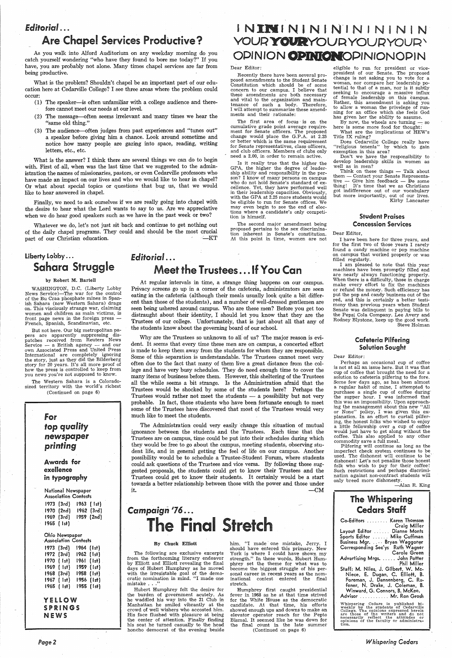## *Editorial ...*

## Are Chapel Services Productive?

As you walk into Alford Auditorium on any weekday morning do you catch yourself wondering "who have they found to bore me today?" If you have, you are probably not alone. Many times chapel services are far from being productive.

### Dear Editor:

Recently there have been several proposed amendments to the Student Senate Constitution which should be of some concern to our campus. I believe that these amendments are both necessary and vital to the organization and maintenance of such a body. Therefore, I will attempt to summarize these amendments and their rationale:

ment for Senate officers. The proposed change would place the G.P.A. at 2.25 or better which is the same requirement for Senate representatives, class officers, and club officers. Members of clubs only need a 2.00, in order to remain active.

What is the problem? Shouldn't chapel be an important part of our education here at Cedarville College? I see three areas where the problem could occur:

- (1) The speaker-is often unfamiliar with a college audience and therefore cannot meet our needs at our level.
- $(2)$  The message—often seems irrelevant and many times we hear the The first area of focus is on the cumulative grade point average require-<br>"Same old thing." The cumulative grade point average require-
- (3) The audience—often judges from past experiences and "tunes out" a speaker before giving him a chance. Look around sometime and notice how many people are gazing into space, reading, writing letters, etc., etc.

Is it really true that the higher the GPA, the higher the degree of leadership ability and responsibility in the person? I know of many persons on campus who do not hold Senate's standard of excellence. Yet, they have performed well in their leadership capacities. Obviously, with the GPA at 2.25 more students would be eligible to run for Senate offices. We may even begin to see the end of elections where a candidate's only competi-

## liberty lobby ... Sahara Struggle

But not here. Our big metropolitan papers are apparently suppressing dispatches received from Reuters News Service  $-$  a British agency  $-$  and our own Associated Press and United Press International are completely ignoring the story, just as they did the Bilderberg story for 20 years. It's all more proof of how the press is controlled to keep from you news you're not supposed to know.

What is the answer? I think there are several things we can do to begin with. First of all, when was the last time that we suggested to the administration the names of missionaries, pastors, or even Cedarville professors who have made an impact on our lives and who we would like to hear in chapel? Or what about special topics or questions that bug us, that we would like to hear answered in chapel.

Finally, we need to ask ourselves if we are really going into chapel with<br>the desire to hear what the Lord wants to say to us. Are we appreciative<br>when we do hear good speakers such as we have in the past week or two?<br>tion

Whatever we do, let's not just sit back and continue to get nothing out of the daily chapel programs. They could and should be the most crucial part of our Christian education. .:\_KT

The second major amendment being proposed pertains to the sex discrimination inherent in Senate's constitution. At this point in time, women are not

Why are the Trustees so unknown to all of us? The major reason is evident. It seems that every time these men are on campus, a concerted effort is made to keep them away from the students for whom they are responsible. Some of this· separation is understandable. The Trustees cannot meet very often due to the fact that many of them live a great distance from the college and have very busy schedules. They do need enough time to cover the many items of business before them. However, this sheltering of the Trustees all the while seems a bit strange. Is the Administration afraid that the Trustees would be shocked by some of the students here? Perhaps the Trustees would rather not meet the students  $-$  a possibility but not very probable. In fact, those students who have been fortunate enough to meet some of the Trustees have discovered that most of the Trustees would very much like to meet the students.

## by Robert M. Bartell

WASHINGTON, D.C. (Liberty Lobby News Service)-The war for the control of the Bu Craa phosphate mines in Spanish Sahara (now Western Sahara) drags on. This visciously strange war, claiming women and children as main victims, is front page news in the foreign press French, Spanish, Scandinavian, etc.

# *Campaign* <sup>1</sup>*76 ...*  **The Final Stretch**

The following are exclusive excerpts from the forthcoming literary endeavor by Elliott and Elliott revealing the final days of Hubert Humphrey as he moved with the irresistable goal of the democratic nomination in mind. "I made one mistake . . .'

him. "I made one mistake, Jerry. I should have entered this primary. New York is where I could have shown my strength." In these words, Hubert Humphrey set the theme for what was to become the biggest struggle of his personal career in recent years as the nominational contest entered the final stretch.

The Western Sahara is a Coloradosized territory with the world's richest (Continued on page 6)

## for *top quality* newspaper printing

Awards for exeHence in typography

National Newspaper Association Contests 1973 (3rd) 1963 ( 1st) 1970 (2nd) 1962 {3rd) 1969 (3rd) 1959 (2nd) 1965 { 1st)

Ohio Newspaper Association Contests 1973 (3rd) 1972 (3rd) 1970 ( 1st) 1969 ( 1st) 1968 (3rd) 1967 ( 1st) 1965 ( 1st) 1964 (1st) 1962 (1st) 1961 ( 1st) 1959 (1st) 1958 ( 1st) 1956 ( 1st) 1955 (1st)

**YELLOW SPRINGS NEWS** 

it.  $-\text{CM}$ 

By now, the wheels are turning  $-$  so here is some more food for thought:

*Page2* 

## *Editorial ...*  .Meet the Trustees ... If You Can

Think on these things  $-$  Talk about them - Contact your Senate Representative  $-$  Give him feedback  $-$  Do some thing! It's time that we as Christians got indifference out of our vocabulary but more importantly, out of our lives. Kirby Lancaster

At regular intervals in time, a strange thing happens on our campus. Privacy screens go up in a corner of the cafeteria, administrators are seen eating in the cafeteria (although their meals usually look quite a bit different than those of the students), and a number of well-dressed gentlemen are seen being ushered around campus. Who are these men? Before you get too distraught about their identity, I should let you know that they are the Trustees of our college. Unfortunately, that is just about all that any of the students know about the governing board of our school.

The Administration could very easily 'change this situation of mutual ignorance between the students and the Trustees. Each time that the Trustees are on campus, time could be put into their schedules during which they would be free to go about the campus, meeting students, observing student life, and in general getting the feel of life on our campus. Another possibility would be to schedule a Trustee-Student Forum, where students could ask questions of the Trustees and vice versa. By following these suggested proposals, the students could get to know their Trustees and the Trustees could get to know their students. It certainly would be a start towards a better relationship between those with the power and those under

# INININININININ YOUR YOURYOURYOUR \ OPINION OPINIONODIN

### By Chuck Elliott

Hubert Humphrey felt the desire for the burden of government acutely. As he waddled his way into the 21 Club in Manhattan he smiled vibrantly at the crowd of well wishers who accosted him. His face flushed with pleasure at being the center of attention. Finally finding his seat he turned casually to the head honcho democrat of the evening beside

Humphrey first caught presidential fever in 1968 as he at that time strived for the White House as the democratic candidate. At that time, his efforts showed enough ups and downs to make an elevator operator reach for the Pepto Bismal. It seemed like he was down for the final count in the late summer (Continued on page 6)

eligible to run for president or vicepresident of our Senate. The proposed change is not asking you to vote for a woman, nor compare her leadership potential to that of a man, nor is it subtly seeking to encourage a massive influx of female leadership on this campus. Rather, this amendment is asking you to allow a woman the privelege of running for an office which she feels God has given her the ability to assume.

What are the implications of HEW's Title IX ruling?

Does Cedarville College really have "religious tenents" by which to gain exemption in this area?

Don't we have the responsibility to develop leadership skills in women as well as in men?

## Student Praises Concession Services

#### Dear Editor,

I have been here for three years, and for the first two of those years I rarely found a candy machine or pop machine on campus that worked properly or was filled regularly.

I am pleased to note that this year machines have been promptly filled and are nearly always functioning properly. When there is a difficulty, those in charge make every effort to fix the machines or refund the money. Such efficiency has put the pop and candy business out of the red, and this is certainly a better testimony than previous years when Student Senate was delinquent in paying bills to the Pepsi Cola Company. Lee Avery and Rodney Blystone, keep up the good work. Steve Holman

## Cafeteria Pilfering Solution Sought

#### Dear Editor:

Perhaps an occasional cup of coffee is not at all an issue here. But it was that cup of coffee that brought the need for a solution to cafeteria pilfering to the fore. Some few days ago, as has been almost a regular habit of mine, I attempted to purchase a single cup of coffee during the supper hour. I was informed that this was an impossibility. Upon approaching the management about this new "All or None" policy, I was given this explanation. In an effort to curtail pilfering, the honest folks who wished to enjoy a little fellowship over a cup of coffee would just have to get along without the coffee. This also applied to any other commodity save a full meal.

Pilfering will continue as long as the imperfect check system continues to be used. The dishonest will continue to be' dishonest! Let's not penalize those honest folk who wish to pay for their coffee! Such restrictions and perhaps discrimination against non-contract students will only breed more dishonesty.

-Alan R. King

## The Whispering Cedars Staff

Co-Editors . . . . . . . . Karen Thomson Craig Miller Layout Editor . . . . . Dianne Monts Sports Editor ...... Mike Cuffman Business Mgr. . . . . Bryan Waggoner . Corresponding Sec'ys Ruth Wagner Carole Green Advertising Mrgs. ..... John Potter Phil Miller Staff: M. Niles, J. Gi'lbert, W. Mc-Niece, E. Dugan, C. Elliott, B. Foreman, J. Dannenberg, C. Rufener, N. Drake, J. Coleman, B. Winward, G. Connors, B. McKee. Advisor . . . . . . . . . . . Mr. Ron Grosh

Whispering Cedars is published bi-<br>weekly by the students of Cedarville<br>College. The opinions expressed herein<br>are those of the writers and do not<br>necessarily reflect the attitudes or<br>opinions of the faculty or administra-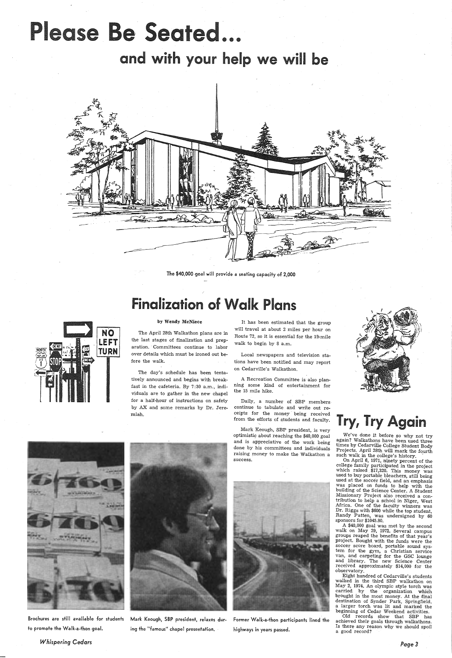# Please Be Seated...

and with your help we will be



The \$40,000 goal will provide a seating capacity of 2,000

# Finalization of Walk Plans



### by Wendy McNiece

The April 28th Walkathon plans are in the last stages of finalization and preparation. Committees continue to labor over details which must be ironed out before the walk.

The day's schedule has been tentatively announced and begins with breakfast in the cafeteria. By 7 :30 a.m., individuals are to gather in the new chapel for a half-hour of instructions on safety by AX and some remarks by Dr. Jeremiah.

It has been estimated that the group will travel at about 2 miles per hour on Route 72, so it is essential for the 15 mile walk to begin by 8 a.m.

Local newspapers and television stations have been notified and may report on Cedarville's Walkathon.

<sup>A</sup>Recreation Committee is· also planning some kind of entertainment for the 15 mile hike.

Daily, a number of SBP members continue to tabulate and write out receipts for the money being received from the efforts of students and faculty.

Mark Keough, SBP president, is very optimistic about reaching the \$40,000 goal and is appreciative of the work being done by his committees and individuals raising money to make the Walkathon <sup>a</sup> success.



# Try, Try Again

We've done it before so why not try again? Walkathons have been used three times by Cedarville College Student Body Projects. April 28th will mark the fourth such walk in the college's history.

On April 6, 1971, ninety percent of the college family participated in the project which raised \$17,320. This money was used to buy portable bleachers, still being used at the soccer field, and an emphasis was placed on funds to help with the building of the Science Center. A Student Missionary Project also received a contribution to help a school in Niger, West Africa. One of the faculty winners was Dr. Riggs with \$600 while the top student, Randy Patten, was undersigned by <sup>60</sup> sponsors for \$1045.80. A \$40,000 goal was met by the second walk on May 29, 1972. Several campus groups reaped the benefits of that year's project. Bought. with the funds were the soccer score board, portable sound system for the gym, a Christian service van, and carpeting for the GSC lounge and library. The new Science Center received approximately \$14,000 for the observatory. Eight hundred of Cedarville's students walked in the third SBP walkathon on May 2, 1974. An olympic style torch was carried by the organization which brought in the most money. At the final destination of Synder Park, Springfield, <sup>a</sup>larger torch was lit and marked the beginning of Cedar Weekend activities. Old records show that SBP has achieved their goals through walkathons. Is there any reason why we should spoil a good record?







Brochures are still available for students Mark Keough, SBP president, relaxes dur- Former Walk-a-thon participants lined the

to promote the Walk-a-thon goal. ing the "famous" chapel presentation. ing highways in years passed.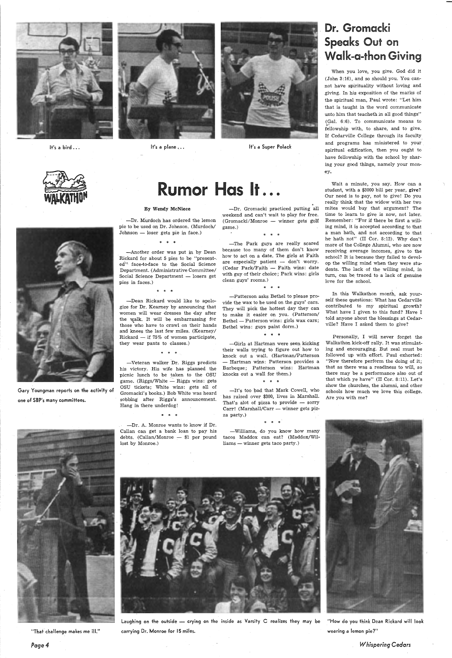

It's a bird  $\ldots$ 



It's a plane ... It's a Super Polack





Gary Youngman reports on the activity of one of SBP's many committees.



# Rumor Has It...

-Dr. Murdoch has ordered the lemon pie to be used on Dr. Johnson. (Murdoch/  $Johnson - loser gets pie in face.)$ 

"That challenge makes me ill.''

*Page4* 

### By Wendy McNiece

\* \* \*

-Another order was put in by Dean Rickard for about 5 pies to be "present-. ed"· face-to-face to the Social Science Department. (Administrative Committee/ Social Science Department - losers get pies in faces.)

\* \* \*

-Dean Rickard would like to apologize for Dr. Kearney by announcing that women will wear dresses the day after the walk. It will be embarrassing for those who have to crawl on their hands and knees the last few miles. (Kearney/ Rickard  $-$  if 75% of women participate, they wear pants to classes.)

\* \* \*

-Veteran walker Dr. Riggs predicts his victory. His wife has planned the picnic lunch to be taken to the OSU game. (Riggs/White  $-$  Riggs wins: gets OSU tickets; White wins: gets all of Gromacki's books.) Bob White was heard sobbing after Riggs's announcement. Hang in there underdog!

-Dr. A. Monroe wants to know if Dr.

-Dr. Gromacki practiced putting all weekend and can't wait to play for free.  $( Gromacki/Monroe - winner gets golf )$ game.)

\* \* \*

-The Park guys are really scared because too many of them don't know how to act on a date. The girls at Faith are especially patient  $-$  don't worry. (Cedar Park/Faith - Faith wins: date with guy of their choice; Park wins: girls clean guys' rooms.)

\* \* \*



-Patterson asks Bethel to please provide the wax to be used on the guys' cars. They will pick the hottest day they can to make it easier on you. (Patterson/ Bethel - Patterson wins: girls wax cars; Bethel wins: guys paint dorm.)

\* \* \*

-Girls at Hartman were seen kicking their walls trying to figure out how to knock out a wall. (Hartman/Patterson — Hartman wins: Patterson provides a Barbeque; Patterson wins: Hartman knocks out a wall for them.)

\* \* \*

-It's too pad that Mark Cowell, who has raised over \$300, lives in Marshall. That's alot of pizza to provide  $-$  sorry Carr! (Marshall/Carr - winner gets pizza party.)

Laughing on the outside - crying on the inside as Varsity C realizes they may be "How do you think Dean Rickard will look carrying Dr. Monroe for 15 miles. wearing a lemon pie?"

# Dr. Gromacki Speaks Out on Walk-a-thon Giving

When you love, you give. God did it (John 3:16), and so should you. You cannot have spirituality without loving and giving. In his exposition of the marks of the spiritual man, Paul wrote: "Let him that is taught in the word communicate unto him that teacheth in all good things" (Gal. 6:6). To communicate means to fellowship with, to share, and to give. If Cedarville College through its faculty and programs has ministered to your spiritual edification, then you ought to have fellowship with the school by sharing your good things, namely your money.

Wait a minute, you say. How can a student, with a \$3000 bill per year, give? Our need is to pay, not to give! Do you really think that the widow with her two mites would buy that argument? The time to learn to give is now, not later. Remember: "For if there be first a willing mind, it is accepted according to that a man hath, and not according to that he hath not" (II Cor. 8:12). Why don't more of the College Alumni, who are now receiving average incomes, give to the school? It *is* because they failed to develop the willing mind when they were students. The lack of the willing mind, in turn, can be traced to a lack of genuine love for the school.

In this Walkathon month, ask yourself these questions: What has Cedarville contributed to my spiritual growth? What have I given to this fund? Have I told anyone about the blessings at Cedarville? Have I asked them.to give?

Personally, I will never forget the Walkathon kick-off rally. It was stimulating and encouraging. But zeal must be followed up with effort. Paul exhorted: "Now therefore perform the doing of it; that as there was a readiness to will, so there may be a performance also out of that which ye have" (II Cor. 8:11). Let's show the churches, the alumni, and other schools how much we love this college. Are you with me?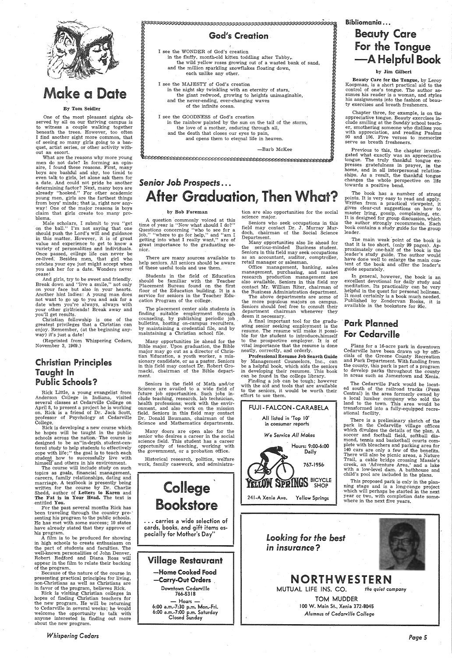

# **Make a Date**

#### By Tom Seidler

One of the most pleasant sights observed by all on our thriving campus is to witness a couple walking together beneath the trees. However, too often I find another sight more common, that of seeing so many girls going to a banquet, artist series, or other activity without an escort.

What are the reasons why more young men do not date? In forming an opinaire, I found these reasons. First, many boys are bashful and shy, too timid to even talk to girls, let alone ask them for a date. And could not pride be another determining factor? Next, many boys are already "hooked." For other academic young men, girls are the farthest things from boys' minds; that is, right now anyway! One of the major reasons is boys claim that girls create too many problems.

 Male scholars, I submit to you "get on the ball." I'm not saying that one should push the Lord's will and guidance in this matter. However, it is of grea<sup>t</sup> value and experience to get to know <sup>a</sup> variety of personalities and individuals. Once passed, college life can never be re-lived: Besides men, that girl who catches your eye just might accept when you ask her for a date. Wonders never cease!

 And girls, try to be sweet and friendly. Break down and "live a smile," not only on your face but also in your hearts. Another hint ladies: A young man does not want to go up to you and ask for <sup>a</sup> date when you're always, always with your other girlfriends! Break away and you'll get results.

Christian fellowship is one of the greatest privileges that a Christian can enjoy. Remember, (at the beginning anyway) it's just a date!

(Reprinted from Whispering Cedars, November 3, 1969.)

## Christian Principles Taught In Public Schools?

Rick Little, <sup>a</sup>young evangelist from Anderson College in Indiana, visited several classes at Cedarville College on April 8, to present a project he is working on. Rick is a friend of Dr. Jack Scott, professor of Psychology at Cedarville College.

I see the MAJESTY of God's creation (a) and the night sky twinkling with an eternity of stars, (b) in the night sky twinkling with an eternity of stars, (b) and the never-ending, ever-changing waves (b) and the never-endin the giant redwood, growing to height's unimaginable,<br>
end the nouse ordinal curre changing waves and the never-ending, ever-changing waves of the infinite ocean.

I see the GOODNESS of God's creation in the rainbow painted by the sun on the tail of the storm, the love of a mother, enduring through all, and the death that closes our eyes to pain, and opens them to eternal life in heaven.

-Barb McKee **''** a

# Senior Job Prospects... After Graduation, Then What?

Rick is developing <sup>a</sup>new course which he hopes will be taught in the public schools across the nation.· The course is designed to be an"in-depth. student-centered study to help students to effectively cope with life;" the goal is to teach each student how to successfully live with himseif and others in his environment.

A question commonly voiced at this time of year is "Now what should I do?" Questions concerning "who to see for <sup>a</sup> job," "where to go for help," and "am I getting into what I really want," are of great importance to the graduating senior.

The course will include study on such topics as goals, financial management, careers, family relationships, dating and re. A textbook is presently written for the course by Dr. Charlie Shedd, author of Letters to Karen and The Fat is in Your Head. The text is entitled You. For the past several months Rick has been traveling through the country pre-· senting his program to the public schools. He has met with some success; 10 states have already stated that they approve of his program. A film is to be produced for showing in high schools to create enthusiasm on the part of students and faculties. The well-known personalities of John Denver, Robert Redford and Diana Ross will appear in the film to relate their backing of the program. Because of the nature of the course in presenting practical principles for living, non-Christians as well as Christians are in favor of the program, believes Rick. Rick is visiting Christian colleges in hopes of finding Christian teachers for the new program. He will be returning to Cedarville in. several weeks; he would welcome the opportunity to talk with anyone interested in finding out more about the new program.

## )<br>Cod's Creation

Many doors are open also for the senior who desires a career in the social science field. This student has a career opportunity of teaching, working with the government, or a probation office.

> **College** Bookstore

*Whispering Cedars* 

) ) I see the WONDER of God's creation • in the fluffy, month-old kitten • toddling after Tabby,.. ) the wild yellow roses growing out of a wasted bank of sand, and the million sparkling snowflakes floating down,  $\bigotimes$ each unlike any other.

Beauty Care for the Tongue, by Leroy Koopman, is a short practical aid to the control of one's tongue. The author assumes his reader is a woman, and styles his assignments into the fashion of beauty exercises and breath fresheners.

Previous to this, the chapter investigated what exactly was an appreciative tongue. The truly thankful tongue expresses gratefulness in prayer, in the home, and in all interpersonal relationships. As a result, the thankful tongue changes the whole perspective on life towards a positive bend.

#### by Bob Foreman

The main weak point of the book is that it is too short, (only 99 pages). Approximately one-half of the book is the leader's study guide. The author would have done well to enlarge the main content of the book and offer the leader's guide separately.

In general, however, the book is an excellent devotional for daily study and meditation. Its practicality can be very helpful in the quest for personal holiness. It most certainly is a book much needed. Published by Zondervan Books, it is available in the bookstore for 95c.

There are many sources available to help seniors. All seniors should be aware of these useful tools and use them.

Students in the field of Education should be familiar with the Teacher Placement Bureau found on the first floor of the Education building. It is <sup>a</sup> service for seniors in the Teacher Education Program of the college.

The placement center aids students in finding suitable employment through counseling, by publishing periodic job . bulletins, hosting on-campus recruiters, by maintaining a credential file, and by maintaining a Christian school file.

> There is a preliminary sketch of the park in the Cedarville village offices which divulges the details of the plan. A soccer and football field, softball diamond, tennis and basketball courts complete with bleachers and parking area for 140 cars are only a few of the benefits. There will also be picnic areas, a Nature Trail, a cable bridge crossing Massie's creek, an 'Adventure Area,' and a lake with a low-level dam. A bathhouse and child's pool are included in the plans.

Many opportunities lie ahead for the Bible major. Upon graduation, the Bible major may go out as a director of Christian Education, a youth worker, a missionary candidate, or as <sup>a</sup>pastor. Seniors in this field may contact Dr. Robert Gromacki, chairman of the Bible department.

> -Home Cooked Food -Carry-Out Orders

 $-$  Hours  $-$  ' 6:00 a.m.-7:30 p.m~ Mon.-Fri. 6:00 a.m.-7:00 p.m. Saturday Closed Sunday

## TETIYM DYKIM **SHOP**

Seniors in the field of Math and/or Science are availed to a wide field of future job opportunities. Such jobs include teaching, research, lab technician, health professions; work with the environment, and also work on the mission field. Seniors in this field may contact Dr. Donald Baumann, chairman of the Science and Mathematics departments.

Historical research, politics, welfare work, family casework, and .administra-



tion are also opportunities for the social science major.

Seniors who seek occupations in this field may contact Dr. J. Murray Murdoch, chairman of the Social Science Department.

Many opportunities also lie ahead for the serious-minded Business student. Seniors in this field may seek occupations as an accountant, auditor, comptroller, retail manager or salesman.

Office management, banking, sales management, purchasing, and market research production management are also available. Seniors in this field my contact Mr. William Riter, chairman of the Business Administration department.

The above departments are some of the more populous majors on campus. Seniors should feel free to consult their department chairman whenever they deem it necessary.

A final important tool for the graduating senior seeking employment is the resume. The resume will make it possible for the student to introduce, himself to the prospective employer. it is of vital importance that the resume is done neatly, correctly, and orderly.

Professional Resume Job Search Guide by Management Counselors, Inc., can be a helpful book, which aids the seniors in developing their resumes. This book can be found in the college library.

Finding a job can be tough; however with the aid and tools that are available to the seniors, it would be worth their effort to use them.



## Bibliomania . . . **Beauty Care**

8<br>(8

8

241-A Xenia Ave. Yellow Springs

# For the Tongue -A Helpful Book

### by Jim Gilbert

Chapter three, for example, is on the appreciative tongue. Beauty exercises include smiling at the Sunday-school teacher, smothering someone who dislikes you with appreciation, and reading Psalms 90 and 106. Five verses to memorize serve as breath fresheners.

The book has a number of strong points. It is very easy to read and apply. Written from a practical viewpoint, it gives clear-cut suggestions on how' to master lying, gossip, complaining, etc. It is designed for group discussion, which the author strongly recommends. Each book contains a study guide for the group leader.

## · Park Planned For Cedarville

Plans for a 16-acre park in downtown Cedarville have been drawn up by officials of the Greene County Recreation and Park Department. With funding from the county, this park is part of a program to develop parks throughout the county m areas such as Jamestown and Xenia.

The Cedarville Park would be located south of the railroad tracks (Penn Central) in the area formerly owned by a local lumber company who sold the land to the town. This area would be transformed into a fully-equipped recreational facility.

This proposed park is only in the plan-

ning stage and is a long-range project · which will perhaps be started in the next year or two, with completion date somewhere in the next five years.

carries a wide selection of cards, books, and gift items es-

## pecially for Mother's Day" *Looking* for *the best in insurance?*



## **NORTHWESTERN**

## Village Restaurant

Downtown Cedarville 766-5318

MUTUAL LIFE INS. CO. *the quiet company* 

## TOM MUDDER I 00 W. Main St., Xenia 372-8045

*Alumnus of Cedarville College* 

*Page5*